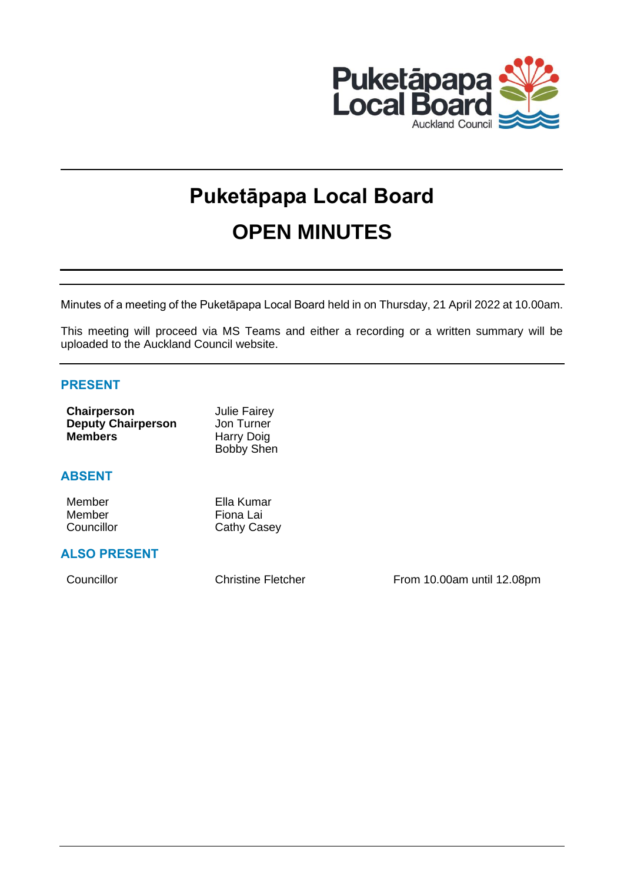

# **Puketāpapa Local Board OPEN MINUTES**

Minutes of a meeting of the Puketāpapa Local Board held in on Thursday, 21 April 2022 at 10.00am.

This meeting will proceed via MS Teams and either a recording or a written summary will be uploaded to the Auckland Council website.

# **PRESENT**

| Chairperson               | <b>Julie Fairey</b> |
|---------------------------|---------------------|
| <b>Deputy Chairperson</b> | Jon Turner          |
| <b>Members</b>            | Harry Doig          |
|                           | <b>Bobby Shen</b>   |

# **ABSENT**

| Member     | Ella Kumar         |
|------------|--------------------|
| Member     | Fiona Lai          |
| Councillor | <b>Cathy Casey</b> |

# **ALSO PRESENT**

Councillor Councillor Christine Fletcher From 10.00am until 12.08pm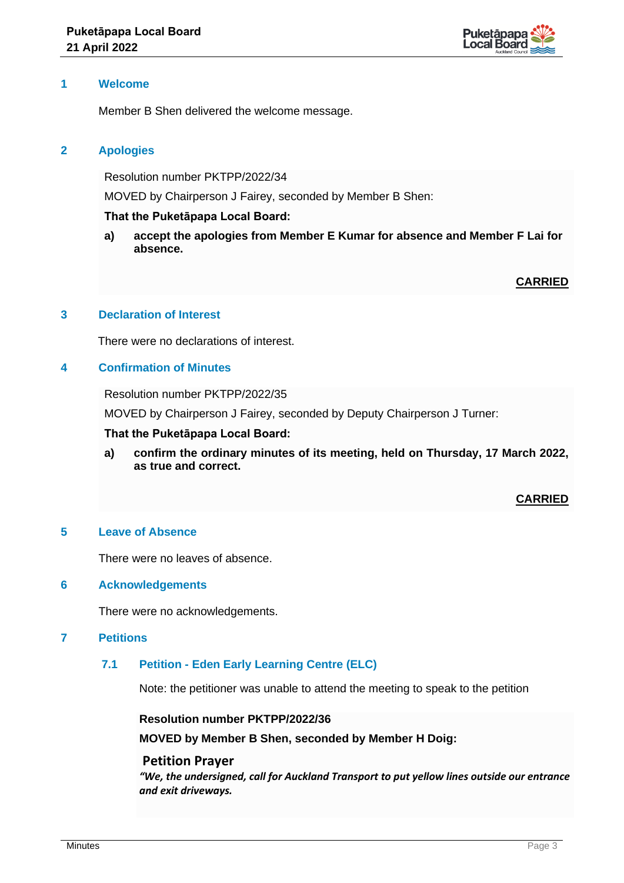

## **1 Welcome**

Member B Shen delivered the welcome message.

# **2 Apologies**

Resolution number PKTPP/2022/34

MOVED by Chairperson J Fairey, seconded by Member B Shen:

#### **That the Puketāpapa Local Board:**

**a) accept the apologies from Member E Kumar for absence and Member F Lai for absence.**

# **CARRIED**

#### **3 Declaration of Interest**

There were no declarations of interest.

## **4 Confirmation of Minutes**

Resolution number PKTPP/2022/35

MOVED by Chairperson J Fairey, seconded by Deputy Chairperson J Turner:

#### **That the Puketāpapa Local Board:**

**a) confirm the ordinary minutes of its meeting, held on Thursday, 17 March 2022, as true and correct.**

#### **CARRIED**

#### **5 Leave of Absence**

There were no leaves of absence.

#### **6 Acknowledgements**

There were no acknowledgements.

## **7 Petitions**

# **7.1 Petition - Eden Early Learning Centre (ELC)**

Note: the petitioner was unable to attend the meeting to speak to the petition

**Resolution number PKTPP/2022/36**

**MOVED by Member B Shen, seconded by Member H Doig:** 

#### **Petition Prayer**

*"We, the undersigned, call for Auckland Transport to put yellow lines outside our entrance and exit driveways.*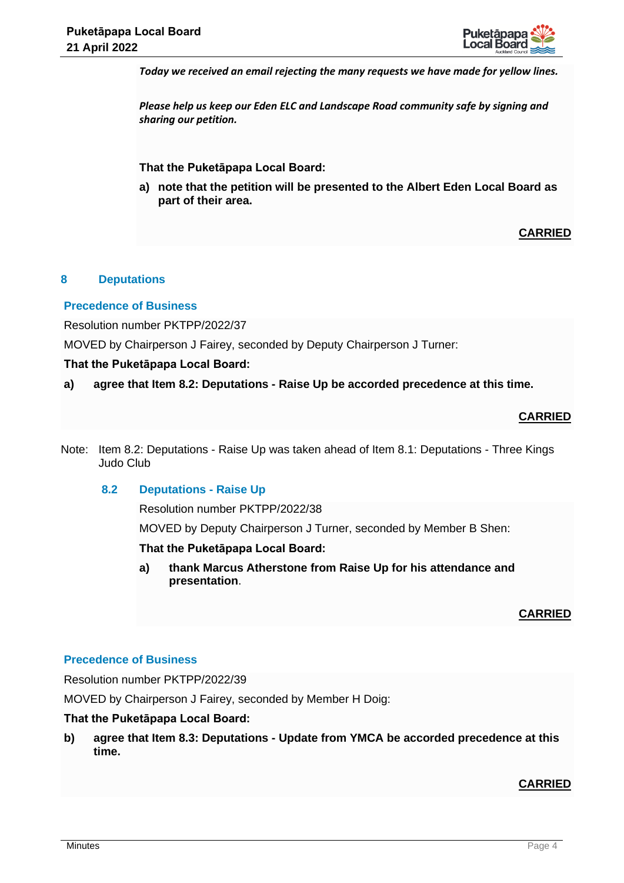

*Today we received an email rejecting the many requests we have made for yellow lines.*

*Please help us keep our Eden ELC and Landscape Road community safe by signing and sharing our petition.* 

**That the Puketāpapa Local Board:**

**a) note that the petition will be presented to the Albert Eden Local Board as part of their area.**

# **CARRIED**

# **8 Deputations**

## **Precedence of Business**

Resolution number PKTPP/2022/37

MOVED by Chairperson J Fairey, seconded by Deputy Chairperson J Turner:

## **That the Puketāpapa Local Board:**

**a) agree that Item 8.2: Deputations - Raise Up be accorded precedence at this time.**

# **CARRIED**

Note: Item 8.2: Deputations - Raise Up was taken ahead of Item 8.1: Deputations - Three Kings Judo Club

#### **8.2 Deputations - Raise Up**

Resolution number PKTPP/2022/38

MOVED by Deputy Chairperson J Turner, seconded by Member B Shen:

#### **That the Puketāpapa Local Board:**

**a) thank Marcus Atherstone from Raise Up for his attendance and presentation**.

#### **CARRIED**

## **Precedence of Business**

Resolution number PKTPP/2022/39

MOVED by Chairperson J Fairey, seconded by Member H Doig:

## **That the Puketāpapa Local Board:**

**b) agree that Item 8.3: Deputations - Update from YMCA be accorded precedence at this time.**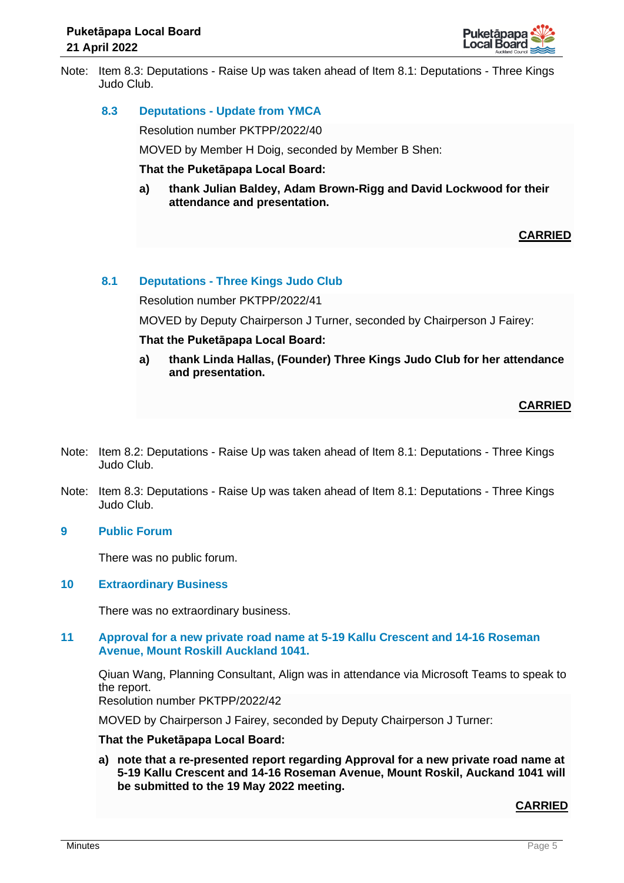

Note: Item 8.3: Deputations - Raise Up was taken ahead of Item 8.1: Deputations - Three Kings Judo Club.

## **8.3 Deputations - Update from YMCA**

Resolution number PKTPP/2022/40

MOVED by Member H Doig, seconded by Member B Shen:

**That the Puketāpapa Local Board:**

**a) thank Julian Baldey, Adam Brown-Rigg and David Lockwood for their attendance and presentation.**

## **CARRIED**

## **8.1 Deputations - Three Kings Judo Club**

Resolution number PKTPP/2022/41

MOVED by Deputy Chairperson J Turner, seconded by Chairperson J Fairey:

#### **That the Puketāpapa Local Board:**

**a) thank Linda Hallas, (Founder) Three Kings Judo Club for her attendance and presentation.**

## **CARRIED**

- Note: Item 8.2: Deputations Raise Up was taken ahead of Item 8.1: Deputations Three Kings Judo Club.
- Note: Item 8.3: Deputations Raise Up was taken ahead of Item 8.1: Deputations Three Kings Judo Club.

## **9 Public Forum**

There was no public forum.

#### **10 Extraordinary Business**

There was no extraordinary business.

## **11 Approval for a new private road name at 5-19 Kallu Crescent and 14-16 Roseman Avenue, Mount Roskill Auckland 1041.**

Qiuan Wang, Planning Consultant, Align was in attendance via Microsoft Teams to speak to the report.

Resolution number PKTPP/2022/42

MOVED by Chairperson J Fairey, seconded by Deputy Chairperson J Turner:

#### **That the Puketāpapa Local Board:**

**a) note that a re-presented report regarding Approval for a new private road name at 5-19 Kallu Crescent and 14-16 Roseman Avenue, Mount Roskil, Auckand 1041 will be submitted to the 19 May 2022 meeting.**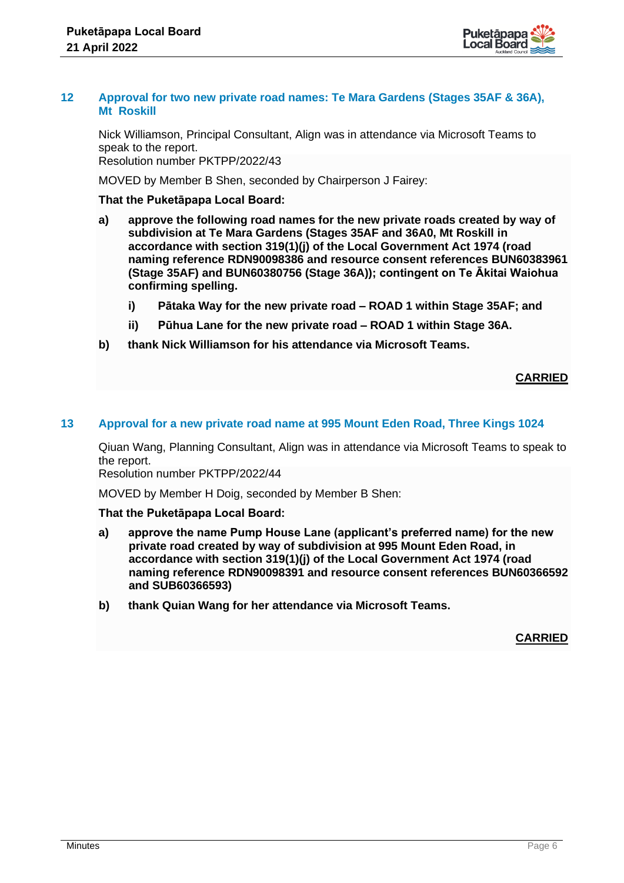

## **12 Approval for two new private road names: Te Mara Gardens (Stages 35AF & 36A), Mt Roskill**

Nick Williamson, Principal Consultant, Align was in attendance via Microsoft Teams to speak to the report. Resolution number PKTPP/2022/43

MOVED by Member B Shen, seconded by Chairperson J Fairey:

## **That the Puketāpapa Local Board:**

- **a) approve the following road names for the new private roads created by way of subdivision at Te Mara Gardens (Stages 35AF and 36A0, Mt Roskill in accordance with section 319(1)(j) of the Local Government Act 1974 (road naming reference RDN90098386 and resource consent references BUN60383961 (Stage 35AF) and BUN60380756 (Stage 36A)); contingent on Te Ākitai Waiohua confirming spelling.**
	- **i) Pātaka Way for the new private road – ROAD 1 within Stage 35AF; and**
	- **ii) Pūhua Lane for the new private road – ROAD 1 within Stage 36A.**
- **b) thank Nick Williamson for his attendance via Microsoft Teams.**

## **CARRIED**

#### **13 Approval for a new private road name at 995 Mount Eden Road, Three Kings 1024**

Qiuan Wang, Planning Consultant, Align was in attendance via Microsoft Teams to speak to the report.

Resolution number PKTPP/2022/44

MOVED by Member H Doig, seconded by Member B Shen:

#### **That the Puketāpapa Local Board:**

- **a) approve the name Pump House Lane (applicant's preferred name) for the new private road created by way of subdivision at 995 Mount Eden Road, in accordance with section 319(1)(j) of the Local Government Act 1974 (road naming reference RDN90098391 and resource consent references BUN60366592 and SUB60366593)**
- **b) thank Quian Wang for her attendance via Microsoft Teams.**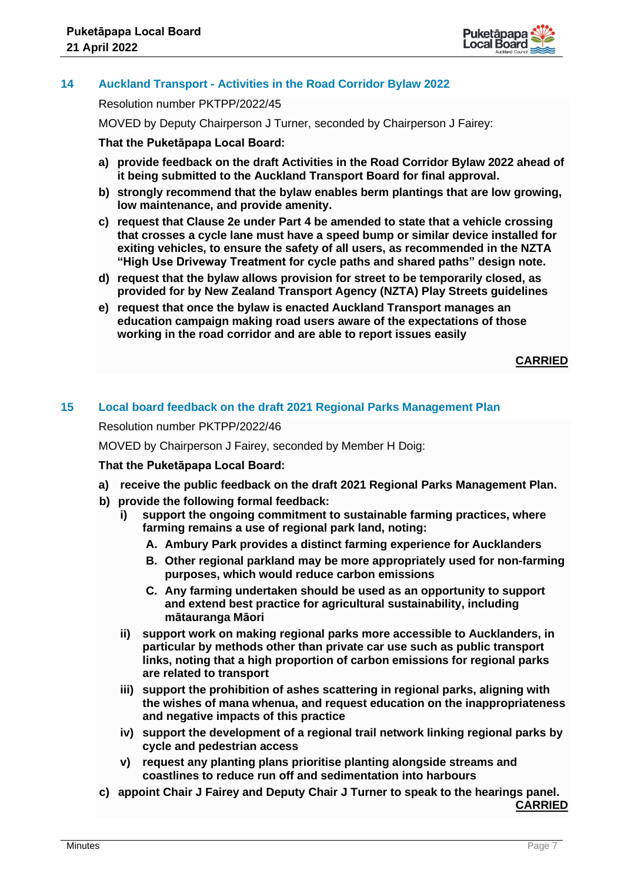

# **14 Auckland Transport - Activities in the Road Corridor Bylaw 2022**

Resolution number PKTPP/2022/45

MOVED by Deputy Chairperson J Turner, seconded by Chairperson J Fairey:

## **That the Puketāpapa Local Board:**

- **a) provide feedback on the draft Activities in the Road Corridor Bylaw 2022 ahead of it being submitted to the Auckland Transport Board for final approval.**
- **b) strongly recommend that the bylaw enables berm plantings that are low growing, low maintenance, and provide amenity.**
- **c) request that Clause 2e under Part 4 be amended to state that a vehicle crossing that crosses a cycle lane must have a speed bump or similar device installed for exiting vehicles, to ensure the safety of all users, as recommended in the NZTA "High Use Driveway Treatment for cycle paths and shared paths" design note.**
- **d) request that the bylaw allows provision for street to be temporarily closed, as provided for by New Zealand Transport Agency (NZTA) Play Streets guidelines**
- **e) request that once the bylaw is enacted Auckland Transport manages an education campaign making road users aware of the expectations of those working in the road corridor and are able to report issues easily**

**CARRIED**

# **15 Local board feedback on the draft 2021 Regional Parks Management Plan**

Resolution number PKTPP/2022/46

MOVED by Chairperson J Fairey, seconded by Member H Doig:

#### **That the Puketāpapa Local Board:**

- **a) receive the public feedback on the draft 2021 Regional Parks Management Plan.**
- **b) provide the following formal feedback:**
	- **i) support the ongoing commitment to sustainable farming practices, where farming remains a use of regional park land, noting:**
		- **A. Ambury Park provides a distinct farming experience for Aucklanders**
		- **B. Other regional parkland may be more appropriately used for non-farming purposes, which would reduce carbon emissions**
		- **C. Any farming undertaken should be used as an opportunity to support and extend best practice for agricultural sustainability, including mātauranga Māori**
	- **ii) support work on making regional parks more accessible to Aucklanders, in particular by methods other than private car use such as public transport links, noting that a high proportion of carbon emissions for regional parks are related to transport**
	- **iii) support the prohibition of ashes scattering in regional parks, aligning with the wishes of mana whenua, and request education on the inappropriateness and negative impacts of this practice**
	- **iv) support the development of a regional trail network linking regional parks by cycle and pedestrian access**
	- **v) request any planting plans prioritise planting alongside streams and coastlines to reduce run off and sedimentation into harbours**
- **c) appoint Chair J Fairey and Deputy Chair J Turner to speak to the hearings panel. CARRIED**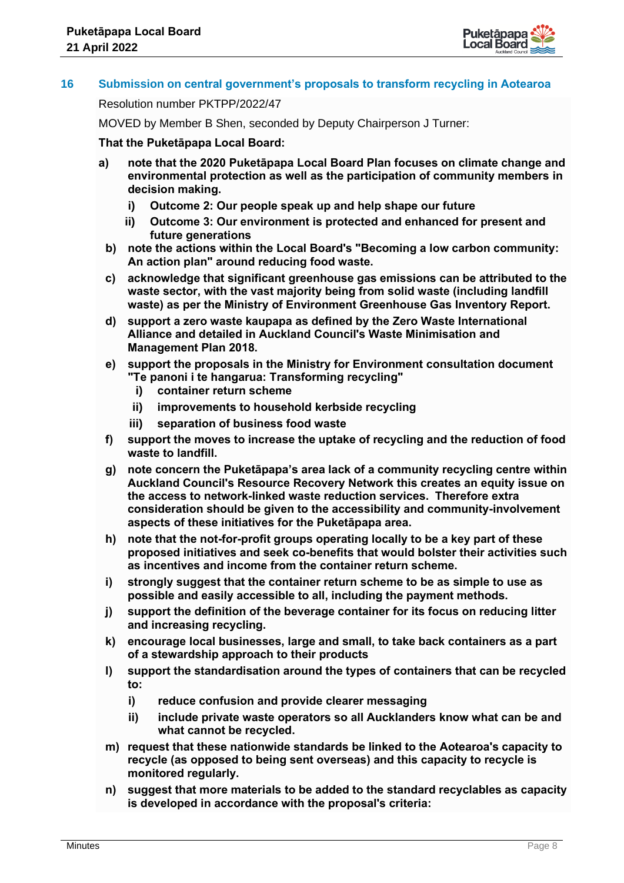

# **16 Submission on central government's proposals to transform recycling in Aotearoa**

#### Resolution number PKTPP/2022/47

MOVED by Member B Shen, seconded by Deputy Chairperson J Turner:

## **That the Puketāpapa Local Board:**

- **a) note that the 2020 Puketāpapa Local Board Plan focuses on climate change and environmental protection as well as the participation of community members in decision making.**
	- **i) Outcome 2: Our people speak up and help shape our future**
	- **ii) Outcome 3: Our environment is protected and enhanced for present and future generations**
	- **b) note the actions within the Local Board's "Becoming a low carbon community: An action plan" around reducing food waste.**
	- **c) acknowledge that significant greenhouse gas emissions can be attributed to the waste sector, with the vast majority being from solid waste (including landfill waste) as per the Ministry of Environment Greenhouse Gas Inventory Report.**
	- **d) support a zero waste kaupapa as defined by the Zero Waste International Alliance and detailed in Auckland Council's Waste Minimisation and Management Plan 2018.**
	- **e) support the proposals in the Ministry for Environment consultation document "Te panoni i te hangarua: Transforming recycling"**
		- **i) container return scheme**
		- **ii) improvements to household kerbside recycling**
		- **iii) separation of business food waste**
	- **f) support the moves to increase the uptake of recycling and the reduction of food waste to landfill.**
	- **g) note concern the Puketāpapa's area lack of a community recycling centre within Auckland Council's Resource Recovery Network this creates an equity issue on the access to network-linked waste reduction services. Therefore extra consideration should be given to the accessibility and community-involvement aspects of these initiatives for the Puketāpapa area.**
	- **h) note that the not-for-profit groups operating locally to be a key part of these proposed initiatives and seek co-benefits that would bolster their activities such as incentives and income from the container return scheme.**
	- **i) strongly suggest that the container return scheme to be as simple to use as possible and easily accessible to all, including the payment methods.**
	- **j) support the definition of the beverage container for its focus on reducing litter and increasing recycling.**
	- **k) encourage local businesses, large and small, to take back containers as a part of a stewardship approach to their products**
	- **l) support the standardisation around the types of containers that can be recycled to:**
		- **i) reduce confusion and provide clearer messaging**
		- **ii) include private waste operators so all Aucklanders know what can be and what cannot be recycled.**
	- **m) request that these nationwide standards be linked to the Aotearoa's capacity to recycle (as opposed to being sent overseas) and this capacity to recycle is monitored regularly.**
	- **n) suggest that more materials to be added to the standard recyclables as capacity is developed in accordance with the proposal's criteria:**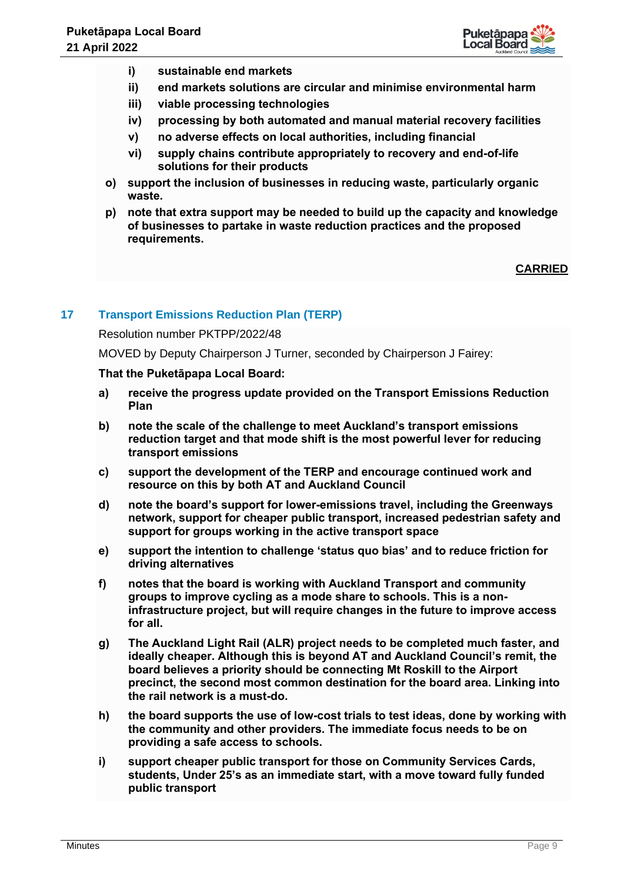

- **i) sustainable end markets**
- **ii) end markets solutions are circular and minimise environmental harm**
- **iii) viable processing technologies**
- **iv) processing by both automated and manual material recovery facilities**
- **v) no adverse effects on local authorities, including financial**
- **vi) supply chains contribute appropriately to recovery and end-of-life solutions for their products**
- **o) support the inclusion of businesses in reducing waste, particularly organic waste.**
- **p) note that extra support may be needed to build up the capacity and knowledge of businesses to partake in waste reduction practices and the proposed requirements.**

## **CARRIED**

# **17 Transport Emissions Reduction Plan (TERP)**

#### Resolution number PKTPP/2022/48

MOVED by Deputy Chairperson J Turner, seconded by Chairperson J Fairey:

#### **That the Puketāpapa Local Board:**

- **a) receive the progress update provided on the Transport Emissions Reduction Plan**
- **b) note the scale of the challenge to meet Auckland's transport emissions reduction target and that mode shift is the most powerful lever for reducing transport emissions**
- **c) support the development of the TERP and encourage continued work and resource on this by both AT and Auckland Council**
- **d) note the board's support for lower-emissions travel, including the Greenways network, support for cheaper public transport, increased pedestrian safety and support for groups working in the active transport space**
- **e) support the intention to challenge 'status quo bias' and to reduce friction for driving alternatives**
- **f) notes that the board is working with Auckland Transport and community groups to improve cycling as a mode share to schools. This is a noninfrastructure project, but will require changes in the future to improve access for all.**
- **g) The Auckland Light Rail (ALR) project needs to be completed much faster, and ideally cheaper. Although this is beyond AT and Auckland Council's remit, the board believes a priority should be connecting Mt Roskill to the Airport precinct, the second most common destination for the board area. Linking into the rail network is a must-do.**
- **h) the board supports the use of low-cost trials to test ideas, done by working with the community and other providers. The immediate focus needs to be on providing a safe access to schools.**
- **i) support cheaper public transport for those on Community Services Cards, students, Under 25's as an immediate start, with a move toward fully funded public transport**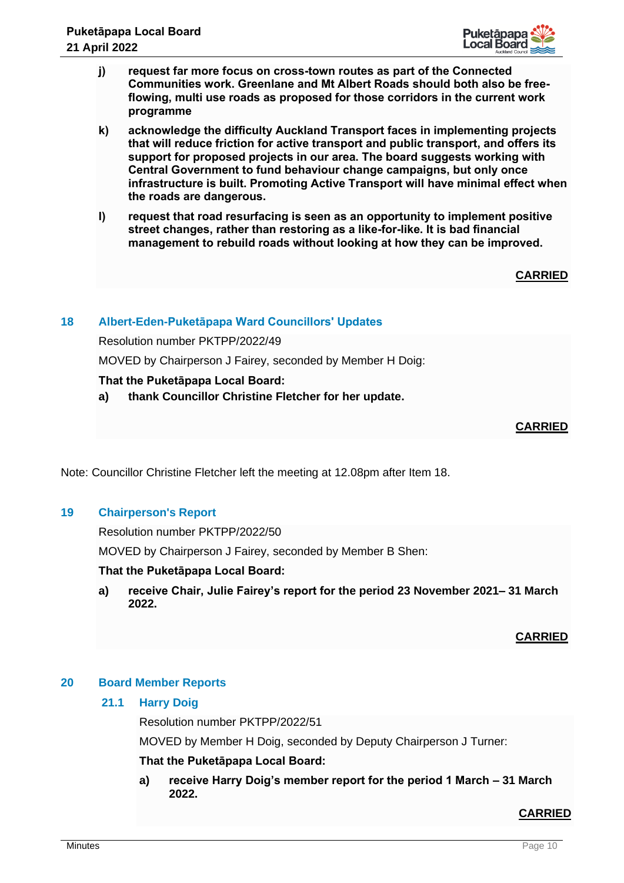

- **j) request far more focus on cross-town routes as part of the Connected Communities work. Greenlane and Mt Albert Roads should both also be freeflowing, multi use roads as proposed for those corridors in the current work programme**
- **k) acknowledge the difficulty Auckland Transport faces in implementing projects that will reduce friction for active transport and public transport, and offers its support for proposed projects in our area. The board suggests working with Central Government to fund behaviour change campaigns, but only once infrastructure is built. Promoting Active Transport will have minimal effect when the roads are dangerous.**
- **l) request that road resurfacing is seen as an opportunity to implement positive street changes, rather than restoring as a like-for-like. It is bad financial management to rebuild roads without looking at how they can be improved.**

**CARRIED**

# **18 Albert-Eden-Puketāpapa Ward Councillors' Updates**

Resolution number PKTPP/2022/49

MOVED by Chairperson J Fairey, seconded by Member H Doig:

# **That the Puketāpapa Local Board:**

**a) thank Councillor Christine Fletcher for her update.**

## **CARRIED**

Note: Councillor Christine Fletcher left the meeting at 12.08pm after Item 18.

#### **19 Chairperson's Report**

Resolution number PKTPP/2022/50

MOVED by Chairperson J Fairey, seconded by Member B Shen:

#### **That the Puketāpapa Local Board:**

**a) receive Chair, Julie Fairey's report for the period 23 November 2021– 31 March 2022.**

#### **CARRIED**

#### **20 Board Member Reports**

# **21.1 Harry Doig**

Resolution number PKTPP/2022/51

MOVED by Member H Doig, seconded by Deputy Chairperson J Turner:

#### **That the Puketāpapa Local Board:**

**a) receive Harry Doig's member report for the period 1 March – 31 March 2022.**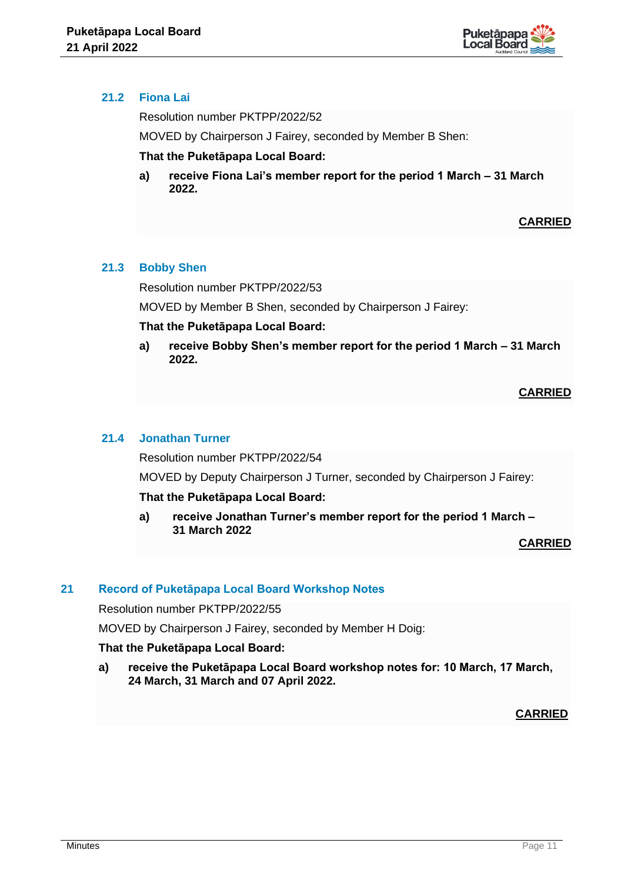

# **21.2 Fiona Lai**

Resolution number PKTPP/2022/52

MOVED by Chairperson J Fairey, seconded by Member B Shen:

**That the Puketāpapa Local Board:**

**a) receive Fiona Lai's member report for the period 1 March – 31 March 2022.**

**CARRIED**

# **21.3 Bobby Shen**

Resolution number PKTPP/2022/53

MOVED by Member B Shen, seconded by Chairperson J Fairey:

# **That the Puketāpapa Local Board:**

**a) receive Bobby Shen's member report for the period 1 March – 31 March 2022.**

# **CARRIED**

# **21.4 Jonathan Turner**

Resolution number PKTPP/2022/54

MOVED by Deputy Chairperson J Turner, seconded by Chairperson J Fairey:

# **That the Puketāpapa Local Board:**

**a) receive Jonathan Turner's member report for the period 1 March – 31 March 2022**

**CARRIED**

# **21 Record of Puketāpapa Local Board Workshop Notes**

Resolution number PKTPP/2022/55

MOVED by Chairperson J Fairey, seconded by Member H Doig:

# **That the Puketāpapa Local Board:**

**a) receive the Puketāpapa Local Board workshop notes for: 10 March, 17 March, 24 March, 31 March and 07 April 2022.**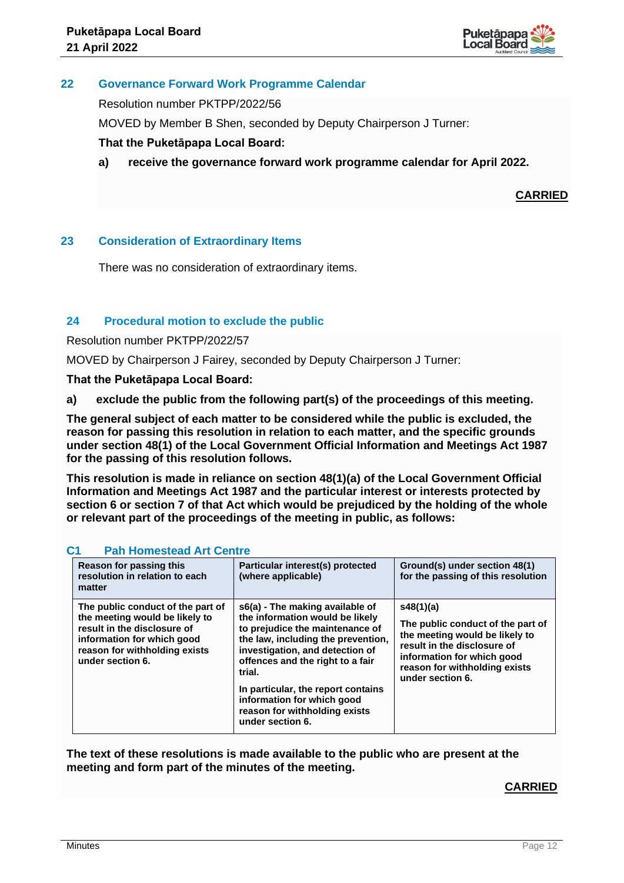

## **22 Governance Forward Work Programme Calendar**

Resolution number PKTPP/2022/56

MOVED by Member B Shen, seconded by Deputy Chairperson J Turner:

## **That the Puketāpapa Local Board:**

**a) receive the governance forward work programme calendar for April 2022.**

**CARRIED**

## **23 Consideration of Extraordinary Items**

There was no consideration of extraordinary items.

# **24 Procedural motion to exclude the public**

Resolution number PKTPP/2022/57

MOVED by Chairperson J Fairey, seconded by Deputy Chairperson J Turner:

**That the Puketāpapa Local Board:**

**a) exclude the public from the following part(s) of the proceedings of this meeting.**

**The general subject of each matter to be considered while the public is excluded, the reason for passing this resolution in relation to each matter, and the specific grounds under section 48(1) of the Local Government Official Information and Meetings Act 1987 for the passing of this resolution follows.**

**This resolution is made in reliance on section 48(1)(a) of the Local Government Official Information and Meetings Act 1987 and the particular interest or interests protected by section 6 or section 7 of that Act which would be prejudiced by the holding of the whole or relevant part of the proceedings of the meeting in public, as follows:**

| Reason for passing this<br>resolution in relation to each<br>matter                                                                                                                   | Particular interest(s) protected<br>(where applicable)                                                                                                                                                                                                                                                                                                | Ground(s) under section 48(1)<br>for the passing of this resolution                                                                                                                                |
|---------------------------------------------------------------------------------------------------------------------------------------------------------------------------------------|-------------------------------------------------------------------------------------------------------------------------------------------------------------------------------------------------------------------------------------------------------------------------------------------------------------------------------------------------------|----------------------------------------------------------------------------------------------------------------------------------------------------------------------------------------------------|
| The public conduct of the part of<br>the meeting would be likely to<br>result in the disclosure of<br>information for which good<br>reason for withholding exists<br>under section 6. | s6(a) - The making available of<br>the information would be likely<br>to prejudice the maintenance of<br>the law, including the prevention,<br>investigation, and detection of<br>offences and the right to a fair<br>trial.<br>In particular, the report contains<br>information for which good<br>reason for withholding exists<br>under section 6. | s48(1)(a)<br>The public conduct of the part of<br>the meeting would be likely to<br>result in the disclosure of<br>information for which good<br>reason for withholding exists<br>under section 6. |

#### **C1 Pah Homestead Art Centre**

**The text of these resolutions is made available to the public who are present at the meeting and form part of the minutes of the meeting.**